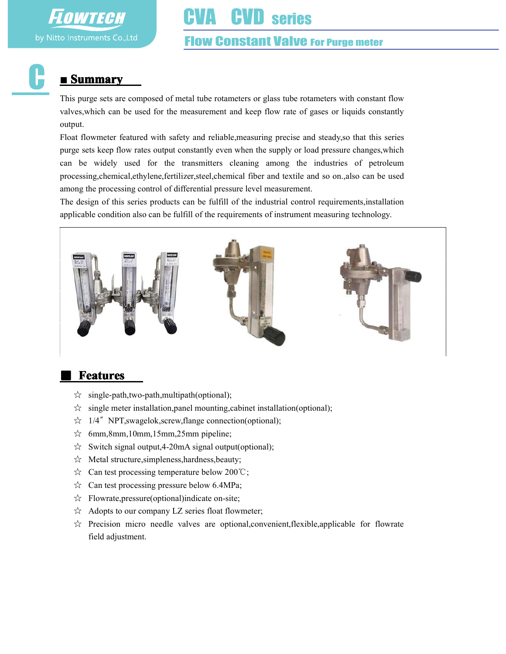

# CVA CVD series

#### Flow Constant Valve For Purge meter

## ■ Summary

This purge sets are composed of metal tube rotameters or glass tube rotameters with constant flow valves,which can be used for the measurement and keep flow rate of gases or liquids constantly output.

Float flowmeter featured with safety and reliable,measuring precise and steady,so that this series purge sets keep flow rates output constantly even when the supply or load pressure changes,which can be widely used for the transmitters cleaning among the industries of petroleum processing,chemical,ethylene,fertilizer,steel,chemical fiber and textile and so on.,also can be used among the processing control of differential pressure level measurement.

The design of this series products can be fulfill of the industrial control requirements,installation applicable condition also can be fulfill of the requirements of instrument measuring technology.



### **Features**

- ☆ single-path,two-path,multipath(optional);
- $\hat{\varphi}$  single meter installation, panel mounting, cabinet installation(optional);
- ☆ 1/4〞NPT,swagelok,screw,flange connection(optional);
- ☆ 6mm,8mm,10mm,15mm,25mm pipeline;
- $\hat{\varphi}$  Switch signal output, 4-20mA signal output(optional);
- ☆ Metal structure,simpleness,hardness,beauty;
- ☆ Can test processing temperature below 200℃;
- $\hat{\varphi}$  Can test processing pressure below 6.4MPa;
- ☆ Flowrate,pressure(optional)indicate on-site;
- ☆ Adopts to our company LZ series float flowmeter;
- $\overleftrightarrow{\alpha}$  Precision micro needle valves are optional, convenient, flexible, applicable for flowrate field adjustment.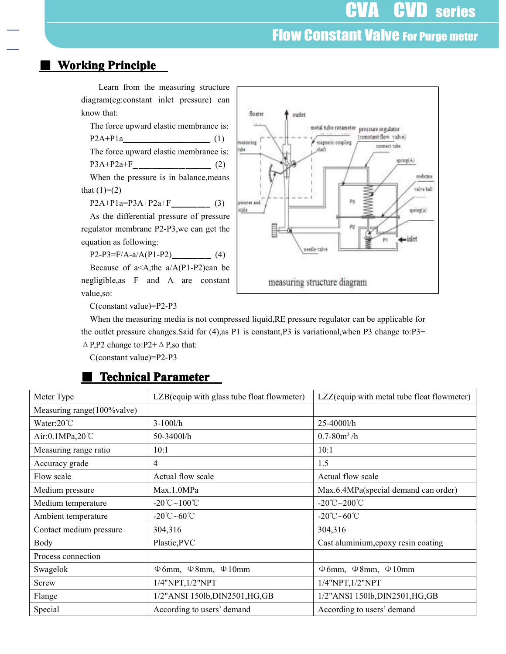# **Flow Constant Valve For Purge meter**

#### **Working Principle**





value,so:

C(constant value)=P2-P3

When the measuring media is not compressed liquid,RE pressure regulator can be applicable for the outlet pressure changes.Said for (4),as P1 is constant,P3 is variational,when P3 change to:P3+  $\triangle$  P,P2 change to:P2+ $\triangle$  P,so that:

C(constant value)=P2-P3

### Meter Type LZB(equip with glass tube float flowmeter) LZZ(equip with metal tube float flowmeter) Measuring range(100%valve) Water:20 °C 3-100l/h 25-4000l/h Air:0.1MPa,20℃ 50-3400l/h 0.7-80m<sup>3</sup>/h Measuring range ratio 10:1 10:1 10:1 Accuracy grade  $4 \t\t | 4$  1.5 Flow scale Actual flow scale Actual flow scale Actual flow scale Medium pressure Max.1.0MPa Max.1.0MPa Max.6.4MPa(special demand can order) Medium temperature  $-20^{\circ}\text{C} \sim 100^{\circ}\text{C}$   $-20^{\circ}\text{C} \sim 200^{\circ}\text{C}$ Ambient temperature  $\Big| -20^{\circ}\text{C} \sim 60^{\circ}\text{C}$   $\Big| -20^{\circ}\text{C} \sim 60^{\circ}\text{C}$ Contact medium pressure 304,316 304,316 Body Plastic,PVC Cast aluminium, epoxy resin coating Process connection Swagelok  $\phi_{6mm}$ , Φ8mm, Φ10mm  $\phi_{6mm}$  θεπική Φ8mm, Φ10mm Screw 1/4"NPT,1/2"NPT 1/4"NPT,1/2"NPT 1/4"NPT,1/2"NPT Flange 1/2"ANSI 150lb,DIN2501,HG,GB 1/2"ANSI 150lb,DIN2501,HG,GB Special According to users' demand According to users' demand According to users' demand

#### **Technical Parameter**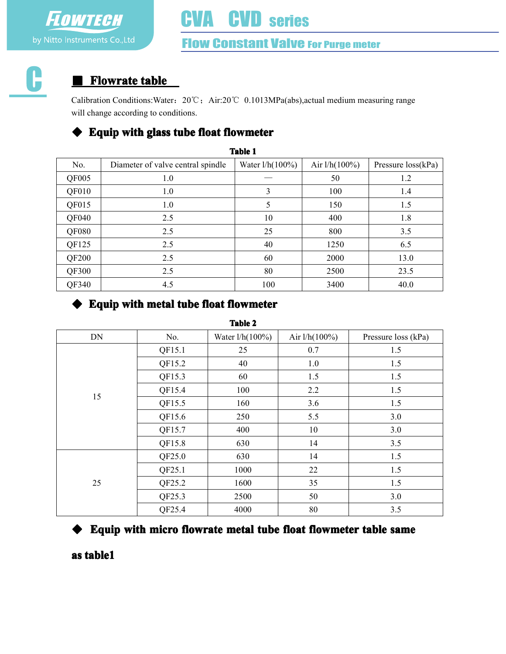# VA CVD series

# **Flow Constant Valve For Purge meter**

6

# **Flowrate table**

Calibration Conditions:Water:20℃;Air:20℃ 0.1013MPa(abs),actual medium measuring range will change according to conditions.

## $\blacklozenge$  Equip with glass tube float flowmeter

| <b>Table 1</b> |                                   |                    |                  |                      |  |  |
|----------------|-----------------------------------|--------------------|------------------|----------------------|--|--|
| No.            | Diameter of valve central spindle | Water $1/h(100\%)$ | Air $1/h(100\%)$ | Pressure $loss(kPa)$ |  |  |
| QF005          | 1.0                               |                    | 50               | 1.2                  |  |  |
| QF010          | 1.0                               | 3                  | 100              | 1.4                  |  |  |
| QF015          | 1.0                               | 5                  | 150              | 1.5                  |  |  |
| QF040          | 2.5                               | 10                 | 400              | 1.8                  |  |  |
| QF080          | 2.5                               | 25                 | 800              | 3.5                  |  |  |
| QF125          | 2.5                               | 40                 | 1250             | 6.5                  |  |  |
| QF200          | 2.5                               | 60                 | 2000             | 13.0                 |  |  |
| QF300          | 2.5                               | 80                 | 2500             | 23.5                 |  |  |
| QF340          | 4.5                               | 100                | 3400             | 40.0                 |  |  |

## $\blacklozenge$  Equip with metal tube float flowmeter

| <b>Table 2</b> |        |                 |                  |                     |  |  |
|----------------|--------|-----------------|------------------|---------------------|--|--|
| DN             | No.    | Water l/h(100%) | Air $1/h(100\%)$ | Pressure loss (kPa) |  |  |
|                | QF15.1 | 25              | 0.7              | 1.5                 |  |  |
|                | QF15.2 | 40              | 1.0              | 1.5                 |  |  |
|                | QF15.3 | 60              | 1.5              | 1.5                 |  |  |
| 15             | QF15.4 | 100             | 2.2              | 1.5                 |  |  |
|                | QF15.5 | 160             | 3.6              | 1.5                 |  |  |
|                | QF15.6 | 250             | 5.5              | 3.0                 |  |  |
|                | QF15.7 | 400             | 10               | 3.0                 |  |  |
|                | QF15.8 | 630             | 14               | 3.5                 |  |  |
|                | QF25.0 | 630             | 14               | 1.5                 |  |  |
|                | QF25.1 | 1000            | 22               | 1.5                 |  |  |
| 25             | QF25.2 | 1600            | 35               | 1.5                 |  |  |
|                | QF25.3 | 2500            | 50               | 3.0                 |  |  |
|                | QF25.4 | 4000            | 80               | 3.5                 |  |  |

# $\blacklozenge$  Equip with micro flowrate metal tube float flowmeter table same

as table1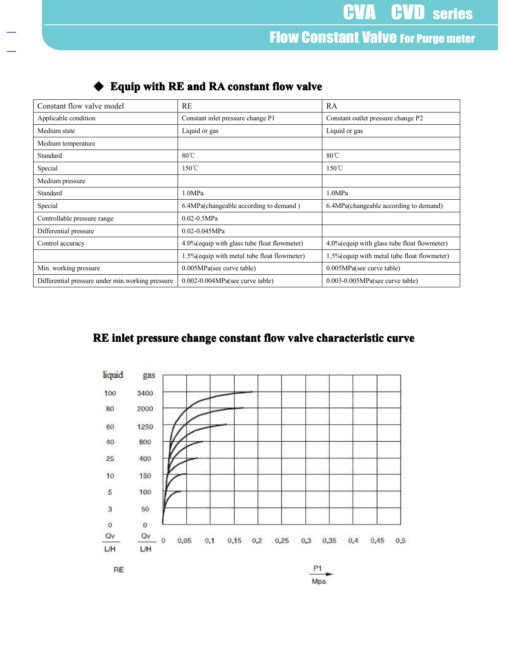# **Flow Constant Valve For Purge meter**

|                             |                                              | <b>CVA CVD</b> series                        |
|-----------------------------|----------------------------------------------|----------------------------------------------|
|                             |                                              |                                              |
|                             |                                              | <b>Flow Constant Valve For Purge meter</b>   |
|                             |                                              |                                              |
|                             |                                              |                                              |
|                             |                                              |                                              |
|                             |                                              |                                              |
|                             | Equip with RE and RA constant flow valve     |                                              |
| Constant flow valve model   | RE                                           | RA                                           |
| Applicable condition        | Constant inlet pressure change P1            | Constant outlet pressure change P2           |
| Medium state                | Liquid or gas                                | Liquid or gas                                |
| Medium temperature          |                                              |                                              |
| Standard                    | $80^{\circ}$ C                               | $80^{\circ}$ C                               |
| Special                     | $150^{\circ}$ C                              | $150^{\circ}$ C                              |
| Medium pressure             |                                              |                                              |
| Standard                    | 1.0MPa                                       | 1.0MPa                                       |
| Special                     | 6.4MPa(changeable according to demand)       | 6.4MPa(changeable according to demand)       |
| Controllable pressure range | $0.02 - 0.5 MPa$                             |                                              |
|                             | $0.02 - 0.045 MPa$                           |                                              |
| Differential pressure       |                                              |                                              |
| Control accuracy            | 4.0% (equip with glass tube float flowmeter) | 4.0% (equip with glass tube float flowmeter) |
|                             | 1.5% (equip with metal tube float flowmeter) | 1.5% (equip with metal tube float flowmeter) |
| Min. working pressure       | 0.005MPa(see curve table)                    | 0.005MPa(see curve table)                    |

#### $\blacklozenge$  Equip with RE and RA constant flow valve

## RE inlet pressure change constant flow valve characteristic curve



Mpa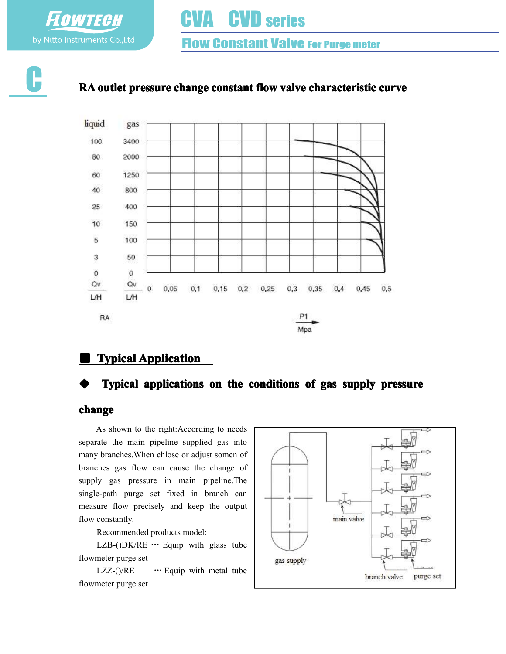by Nitto Instruments Co., Ltd

**FLOWTECH** 

# **CVD** series

**Flow Constant Valve For Purge meter** 



### RA outlet pressure change constant flow valve characteristic curve



## **Typical Application**

#### Typical applications on the conditions of gas supply pressure

#### change

As shown to the right:According to needs separate the main pipeline supplied gas into many branches.When chlose or adjust somen of branches gas flow can cause the change of supply gas pressure in main pipeline.The single-path purge set fixed in branch can measure flow precisely and keep the output flow constantly.

Recommended products model:

LZB-()DK/RE  $\cdots$  Equip with glass tube flowmeter purge set

LZZ-()/ $RE$  … Equip with metal tube flowmeter purge set

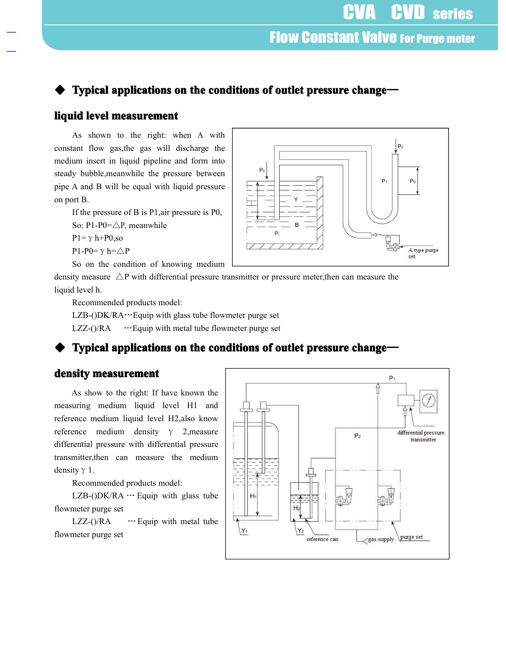## Typical applications on the conditions of outlet pressure change—

#### liquid level measurement

As shown to the right: when A with constant flow gas,the gas will discharge the medium insert in liquid pipeline and form into steady bubble,meanwhile the pressure between pipe A and B will be equal with liquid pressure on port B.

If the pressure of B is P1,air pressure is P0,

So: P1-P0=△P, meanwhile

 $P1 = \gamma h + PQ$ , so

P1-P0= $\gamma$  h= $\triangle$ P

So on the condition of knowing medium

density measure  $\triangle P$  with differential pressure transmitter or pressure meter, then can measure the liquid level h.

Recommended products model:

 $LZB-(DK/RA\cdots)$  Equip with glass tube flowmeter purge set

LZZ- $()$ /RA  $...$  Equip with metal tube flowmeter purge set

### Typical applications on the conditions of outlet pressure change—

#### density measurement

As show to the right: If have known the measuring medium liquid level H1 and reference medium liquid level H2,also know reference medium density  $\gamma$  2, measure differential pressure with differential pressure transmitter,then can measure the medium density  $\gamma$  1.

Recommended products model:

LZB-( $D$ K/RA  $\cdots$  Equip with glass tube flowmeter purge set

LZZ-()/ $RA$  … Equip with metal tube flowmeter purge set



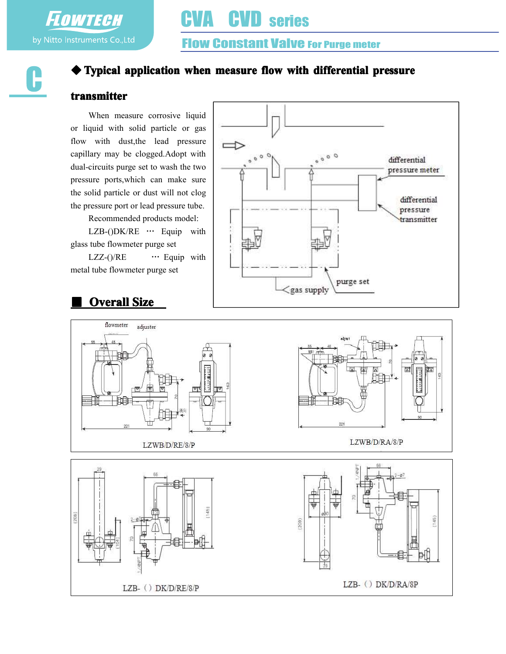FLOWTECH by Nitto Instruments Co., Ltd

г

# **Flow Constant Valve For Purge meter**

# $\blacklozenge$  Typical application when measure flow with differential pressure

#### transmitter

When measure corrosive liquid or liquid with solid particle or gas flow with dust,the lead pressure capillary may be clogged.Adopt with dual-circuits purge set to wash the two pressure ports,which can make sure the solid particle or dust will not clog the pressure port or lead pressure tube.

Recommended products model:

LZB-()DK/RE … Equip with glass tube flowmeter purge set

LZZ-()/RE … Equip with metal tube flowmeter purge set



## **Overall Size**

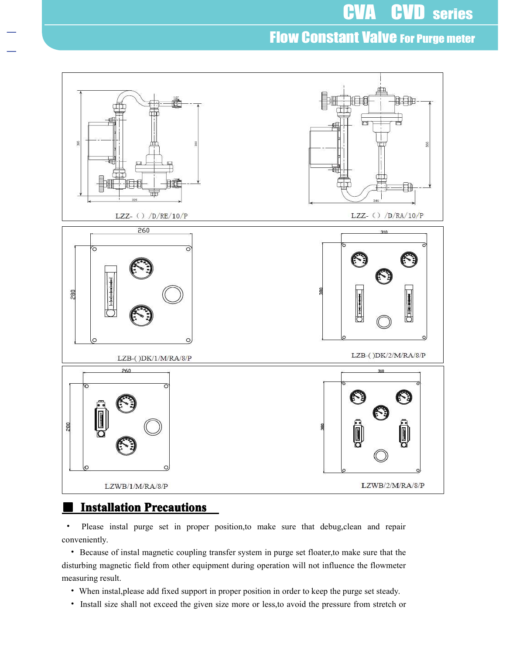# **Flow Constant Valve For Purge meter**



#### **Installation Precautions**

• Please instal purge set in proper position,to make sure that debug,clean and repair conveniently.

• Because of instal magnetic coupling transfer system in purge set floater,to make sure that the disturbing magnetic field from other equipment during operation will not influence the flowmeter measuring result.

- When instal,please add fixed support in proper position in order to keep the purge set steady.
- Install size shall not exceed the given size more or less,to avoid the pressure from stretch or